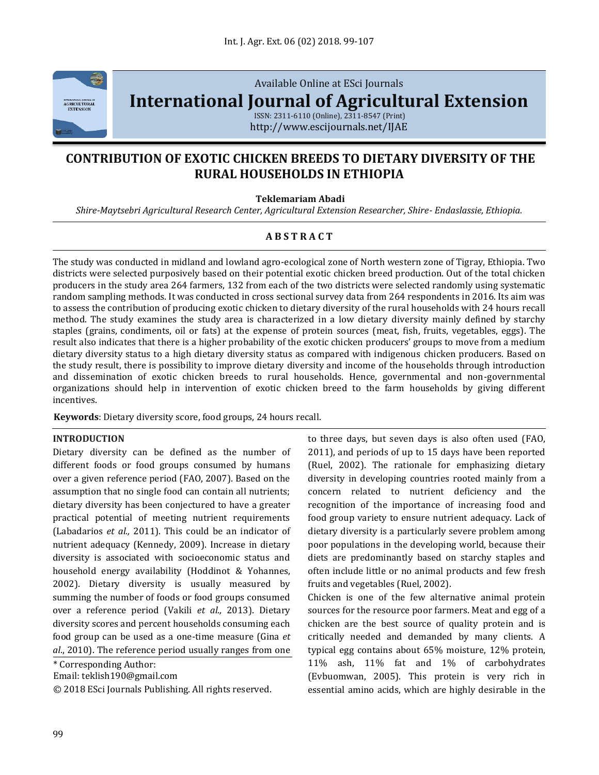

Available Online at ESci Journals

**[International Journal of Agricultural Extension](http://www.escijournals.net/IJER)**

ISSN: 2311-6110 (Online), 2311-8547 (Print) http://www.escijournals.net/IJAE

# **CONTRIBUTION OF EXOTIC CHICKEN BREEDS TO DIETARY DIVERSITY OF THE RURAL HOUSEHOLDS IN ETHIOPIA**

### **Teklemariam Abadi**

*Shire-Maytsebri Agricultural Research Center, Agricultural Extension Researcher, Shire- Endaslassie, Ethiopia.*

# **A B S T R A C T**

The study was conducted in midland and lowland agro-ecological zone of North western zone of Tigray, Ethiopia. Two districts were selected purposively based on their potential exotic chicken breed production. Out of the total chicken producers in the study area 264 farmers, 132 from each of the two districts were selected randomly using systematic random sampling methods. It was conducted in cross sectional survey data from 264 respondents in 2016. Its aim was to assess the contribution of producing exotic chicken to dietary diversity of the rural households with 24 hours recall method. The study examines the study area is characterized in a low dietary diversity mainly defined by starchy staples (grains, condiments, oil or fats) at the expense of protein sources (meat, fish, fruits, vegetables, eggs). The result also indicates that there is a higher probability of the exotic chicken producers' groups to move from a medium dietary diversity status to a high dietary diversity status as compared with indigenous chicken producers. Based on the study result, there is possibility to improve dietary diversity and income of the households through introduction and dissemination of exotic chicken breeds to rural households. Hence, governmental and non-governmental organizations should help in intervention of exotic chicken breed to the farm households by giving different incentives.

**Keywords**: Dietary diversity score, food groups, 24 hours recall.

#### **INTRODUCTION**

Dietary diversity can be defined as the number of different foods or food groups consumed by humans over a given reference period (FAO, 2007). Based on the assumption that no single food can contain all nutrients; dietary diversity has been conjectured to have a greater practical potential of meeting nutrient requirements (Labadarios *et al.,* 2011). This could be an indicator of nutrient adequacy (Kennedy, 2009). Increase in dietary diversity is associated with socioeconomic status and household energy availability (Hoddinot & Yohannes, 2002). Dietary diversity is usually measured by summing the number of foods or food groups consumed over a reference period (Vakili *et al.,* 2013). Dietary diversity scores and percent households consuming each food group can be used as a one-time measure (Gina *et*  al., 2010). The reference period usually ranges from one

\* Corresponding Author:

Email: teklish190@gmail.com

© 2018 ESci Journals Publishing. All rights reserved.

to three days, but seven days is also often used (FAO, 2011), and periods of up to 15 days have been reported (Ruel, 2002). The rationale for emphasizing dietary diversity in developing countries rooted mainly from a concern related to nutrient deficiency and the recognition of the importance of increasing food and food group variety to ensure nutrient adequacy. Lack of dietary diversity is a particularly severe problem among poor populations in the developing world, because their diets are predominantly based on starchy staples and often include little or no animal products and few fresh fruits and vegetables (Ruel, 2002).

Chicken is one of the few alternative animal protein sources for the resource poor farmers. Meat and egg of a chicken are the best source of quality protein and is critically needed and demanded by many clients. A typical egg contains about 65% moisture, 12% protein, 11% ash, 11% fat and 1% of carbohydrates (Evbuomwan, 2005). This protein is very rich in essential amino acids, which are highly desirable in the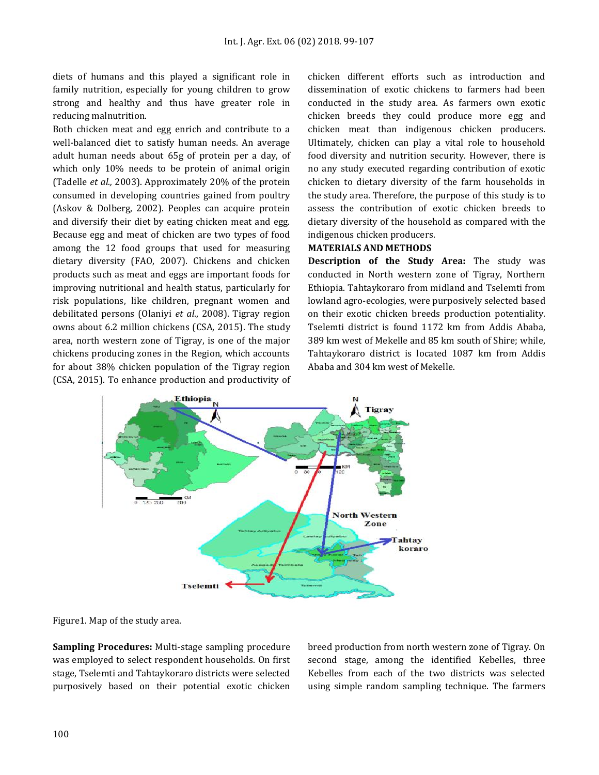diets of humans and this played a significant role in family nutrition, especially for young children to grow strong and healthy and thus have greater role in reducing malnutrition.

Both chicken meat and egg enrich and contribute to a well-balanced diet to satisfy human needs. An average adult human needs about 65g of protein per a day, of which only 10% needs to be protein of animal origin (Tadelle *et al.,* 2003). Approximately 20% of the protein consumed in developing countries gained from poultry (Askov & Dolberg, 2002). Peoples can acquire protein and diversify their diet by eating chicken meat and egg. Because egg and meat of chicken are two types of food among the 12 food groups that used for measuring dietary diversity (FAO, 2007). Chickens and chicken products such as meat and eggs are important foods for improving nutritional and health status, particularly for risk populations, like children, pregnant women and debilitated persons (Olaniyi *et al*., 2008). Tigray region owns about 6.2 million chickens (CSA, 2015). The study area, north western zone of Tigray, is one of the major chickens producing zones in the Region, which accounts for about 38% chicken population of the Tigray region (CSA, 2015). To enhance production and productivity of chicken different efforts such as introduction and dissemination of exotic chickens to farmers had been conducted in the study area. As farmers own exotic chicken breeds they could produce more egg and chicken meat than indigenous chicken producers. Ultimately, chicken can play a vital role to household food diversity and nutrition security. However, there is no any study executed regarding contribution of exotic chicken to dietary diversity of the farm households in the study area. Therefore, the purpose of this study is to assess the contribution of exotic chicken breeds to dietary diversity of the household as compared with the indigenous chicken producers.

#### **MATERIALS AND METHODS**

**Description of the Study Area:** The study was conducted in North western zone of Tigray, Northern Ethiopia. Tahtaykoraro from midland and Tselemti from lowland agro-ecologies, were purposively selected based on their exotic chicken breeds production potentiality. Tselemti district is found 1172 km from Addis Ababa, 389 km west of Mekelle and 85 km south of Shire; while, Tahtaykoraro district is located 1087 km from Addis Ababa and 304 km west of Mekelle.



Figure1. Map of the study area.

**Sampling Procedures:** Multi-stage sampling procedure was employed to select respondent households. On first stage, Tselemti and Tahtaykoraro districts were selected purposively based on their potential exotic chicken breed production from north western zone of Tigray. On second stage, among the identified Kebelles, three Kebelles from each of the two districts was selected using simple random sampling technique. The farmers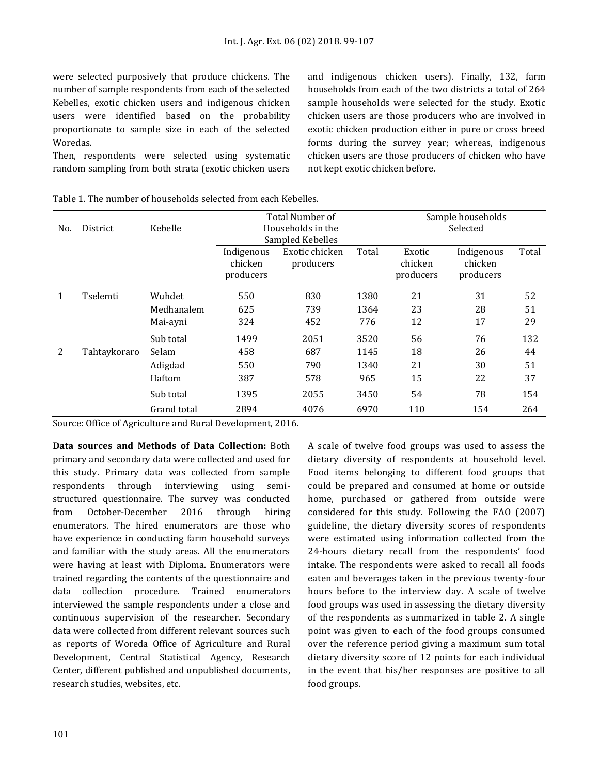were selected purposively that produce chickens. The number of sample respondents from each of the selected Kebelles, exotic chicken users and indigenous chicken users were identified based on the probability proportionate to sample size in each of the selected Woredas.

Then, respondents were selected using systematic random sampling from both strata (exotic chicken users and indigenous chicken users). Finally, 132, farm households from each of the two districts a total of 264 sample households were selected for the study. Exotic chicken users are those producers who are involved in exotic chicken production either in pure or cross breed forms during the survey year; whereas, indigenous chicken users are those producers of chicken who have not kept exotic chicken before.

|              |              |             | Total Number of   |                  |       | Sample households |            |       |  |
|--------------|--------------|-------------|-------------------|------------------|-------|-------------------|------------|-------|--|
| No.          | District     | Kebelle     | Households in the |                  |       | Selected          |            |       |  |
|              |              |             |                   | Sampled Kebelles |       |                   |            |       |  |
|              |              |             | Indigenous        | Exotic chicken   | Total | Exotic            | Indigenous | Total |  |
|              |              |             | chicken           | producers        |       | chicken           | chicken    |       |  |
|              |              |             | producers         |                  |       | producers         | producers  |       |  |
|              |              |             |                   |                  |       |                   |            |       |  |
| $\mathbf{1}$ | Tselemti     | Wuhdet      | 550               | 830              | 1380  | 21                | 31         | 52    |  |
|              |              | Medhanalem  | 625               | 739              | 1364  | 23                | 28         | 51    |  |
|              |              | Mai-ayni    | 324               | 452              | 776   | 12                | 17         | 29    |  |
|              |              | Sub total   | 1499              | 2051             | 3520  | 56                | 76         | 132   |  |
| 2            | Tahtaykoraro | Selam       | 458               | 687              | 1145  | 18                | 26         | 44    |  |
|              |              | Adigdad     | 550               | 790              | 1340  | 21                | 30         | 51    |  |
|              |              | Haftom      | 387               | 578              | 965   | 15                | 22         | 37    |  |
|              |              | Sub total   | 1395              | 2055             | 3450  | 54                | 78         | 154   |  |
|              |              | Grand total | 2894              | 4076             | 6970  | 110               | 154        | 264   |  |

Table 1. The number of households selected from each Kebelles.

Source: Office of Agriculture and Rural Development, 2016.

**Data sources and Methods of Data Collection:** Both primary and secondary data were collected and used for this study. Primary data was collected from sample respondents through interviewing using semistructured questionnaire. The survey was conducted from October-December 2016 through hiring enumerators. The hired enumerators are those who have experience in conducting farm household surveys and familiar with the study areas. All the enumerators were having at least with Diploma. Enumerators were trained regarding the contents of the questionnaire and data collection procedure. Trained enumerators interviewed the sample respondents under a close and continuous supervision of the researcher. Secondary data were collected from different relevant sources such as reports of Woreda Office of Agriculture and Rural Development, Central Statistical Agency, Research Center, different published and unpublished documents, research studies, websites, etc.

A scale of twelve food groups was used to assess the dietary diversity of respondents at household level. Food items belonging to different food groups that could be prepared and consumed at home or outside home, purchased or gathered from outside were considered for this study. Following the FAO (2007) guideline, the dietary diversity scores of respondents were estimated using information collected from the 24-hours dietary recall from the respondents' food intake. The respondents were asked to recall all foods eaten and beverages taken in the previous twenty-four hours before to the interview day. A scale of twelve food groups was used in assessing the dietary diversity of the respondents as summarized in table 2. A single point was given to each of the food groups consumed over the reference period giving a maximum sum total dietary diversity score of 12 points for each individual in the event that his/her responses are positive to all food groups.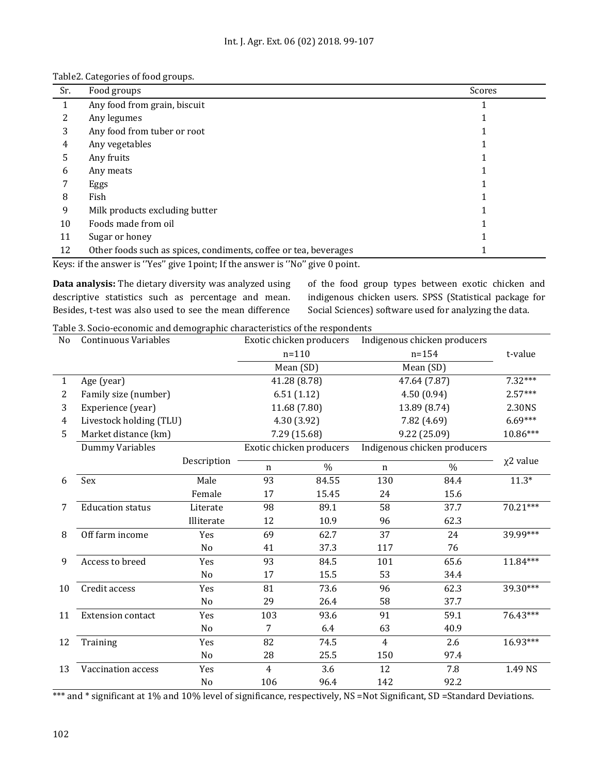| Table2. Categories of food groups. |  |
|------------------------------------|--|
|------------------------------------|--|

| Sr. | Food groups                                                      | Scores |
|-----|------------------------------------------------------------------|--------|
| 1   | Any food from grain, biscuit                                     |        |
|     | Any legumes                                                      |        |
| 3   | Any food from tuber or root                                      |        |
| 4   | Any vegetables                                                   |        |
| 5.  | Any fruits                                                       |        |
| 6   | Any meats                                                        |        |
|     | Eggs                                                             |        |
| 8   | Fish                                                             |        |
| 9   | Milk products excluding butter                                   |        |
| 10  | Foods made from oil                                              |        |
| 11  | Sugar or honey                                                   |        |
| 12  | Other foods such as spices, condiments, coffee or tea, beverages |        |

Keys: if the answer is ''Yes'' give 1point; If the answer is ''No'' give 0 point.

**Data analysis:** The dietary diversity was analyzed using descriptive statistics such as percentage and mean. Besides, t-test was also used to see the mean difference

of the food group types between exotic chicken and indigenous chicken users. SPSS (Statistical package for Social Sciences) software used for analyzing the data.

Table 3. Socio-economic and demographic characteristics of the respondents

| N <sub>o</sub> | <b>Continuous Variables</b> |                |                          | Exotic chicken producers | Indigenous chicken producers |                              |                |
|----------------|-----------------------------|----------------|--------------------------|--------------------------|------------------------------|------------------------------|----------------|
|                |                             |                | $n = 110$                |                          | $n = 154$                    |                              | t-value        |
|                |                             |                | Mean (SD)                |                          | Mean (SD)                    |                              |                |
| $\mathbf{1}$   | Age (year)                  |                | 41.28 (8.78)             |                          | 47.64 (7.87)                 |                              | $7.32***$      |
| 2              | Family size (number)        |                |                          | 6.51(1.12)               | 4.50 (0.94)                  |                              | $2.57***$      |
| 3              | Experience (year)           |                |                          | 11.68 (7.80)             | 13.89 (8.74)                 |                              | 2.30NS         |
| 4              | Livestock holding (TLU)     |                |                          | 4.30 (3.92)              | 7.82 (4.69)                  |                              | $6.69***$      |
| 5              | Market distance (km)        |                |                          | 7.29 (15.68)             | 9.22 (25.09)                 |                              | $10.86***$     |
|                | Dummy Variables             |                | Exotic chicken producers |                          |                              | Indigenous chicken producers |                |
|                |                             | Description    | $\mathbf n$              | $\frac{0}{0}$            | $\mathbf n$                  | $\frac{0}{0}$                | $\chi$ 2 value |
| 6              | Sex                         | Male           | 93                       | 84.55                    | 130                          | 84.4                         | $11.3*$        |
|                |                             | Female         | 17                       | 15.45                    | 24                           | 15.6                         |                |
| 7              | <b>Education status</b>     | Literate       | 98                       | 89.1                     | 58                           | 37.7                         | 70.21***       |
|                |                             | Illiterate     | 12                       | 10.9                     | 96                           | 62.3                         |                |
| 8              | Off farm income             | Yes            | 69                       | 62.7                     | 37                           | 24                           | 39.99***       |
|                |                             | N <sub>o</sub> | 41                       | 37.3                     | 117                          | 76                           |                |
| 9              | Access to breed             | Yes            | 93                       | 84.5                     | 101                          | 65.6                         | 11.84***       |
|                |                             | No             | 17                       | 15.5                     | 53                           | 34.4                         |                |
| 10             | Credit access               | Yes            | 81                       | 73.6                     | 96                           | 62.3                         | 39.30***       |
|                |                             | No             | 29                       | 26.4                     | 58                           | 37.7                         |                |
| 11             | <b>Extension contact</b>    | Yes            | 103                      | 93.6                     | 91                           | 59.1                         | 76.43***       |
|                |                             | No             | 7                        | 6.4                      | 63                           | 40.9                         |                |
| 12             | Training                    | Yes            | 82                       | 74.5                     | $\overline{4}$               | 2.6                          | 16.93***       |
|                |                             | No             | 28                       | 25.5                     | 150                          | 97.4                         |                |
| 13             | Vaccination access          | Yes            | 4                        | 3.6                      | 12                           | 7.8                          | 1.49 NS        |
|                |                             | No             | 106                      | 96.4                     | 142                          | 92.2                         |                |

\*\*\* and \* significant at 1% and 10% level of significance, respectively, NS =Not Significant, SD =Standard Deviations.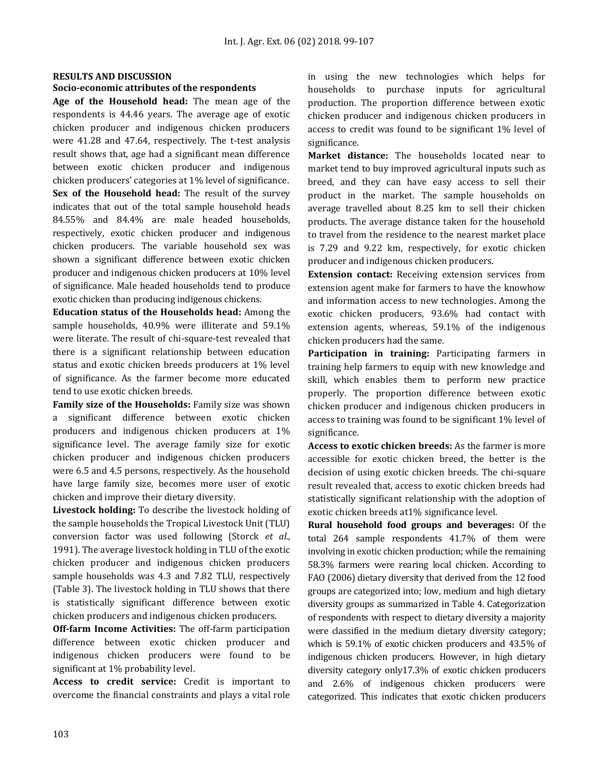# **RESULTS AND DISCUSSION**

### **Socio-economic attributes of the respondents**

**Age of the Household head:** The mean age of the respondents is 44.46 years. The average age of exotic chicken producer and indigenous chicken producers were 41.28 and 47.64, respectively. The t-test analysis result shows that, age had a significant mean difference between exotic chicken producer and indigenous chicken producers' categories at 1% level of significance. **Sex of the Household head:** The result of the survey indicates that out of the total sample household heads 84.55% and 84.4% are male headed households, respectively, exotic chicken producer and indigenous chicken producers. The variable household sex was shown a significant difference between exotic chicken producer and indigenous chicken producers at 10% level of significance. Male headed households tend to produce exotic chicken than producing indigenous chickens.

**Education status of the Households head:** Among the sample households, 40.9% were illiterate and 59.1% were literate. The result of chi-square-test revealed that there is a significant relationship between education status and exotic chicken breeds producers at 1% level of significance. As the farmer become more educated tend to use exotic chicken breeds.

**Family size of the Households:** Family size was shown a significant difference between exotic chicken producers and indigenous chicken producers at 1% significance level. The average family size for exotic chicken producer and indigenous chicken producers were 6.5 and 4.5 persons, respectively. As the household have large family size, becomes more user of exotic chicken and improve their dietary diversity.

**Livestock holding:** To describe the livestock holding of the sample households the Tropical Livestock Unit (TLU) conversion factor was used following (Storck *et al.,* 1991). The average livestock holding in TLU of the exotic chicken producer and indigenous chicken producers sample households was 4.3 and 7.82 TLU, respectively (Table 3). The livestock holding in TLU shows that there is statistically significant difference between exotic chicken producers and indigenous chicken producers.

**Off-farm Income Activities:** The off-farm participation difference between exotic chicken producer and indigenous chicken producers were found to be significant at 1% probability level.

**Access to credit service:** Credit is important to overcome the financial constraints and plays a vital role in using the new technologies which helps for households to purchase inputs for agricultural production. The proportion difference between exotic chicken producer and indigenous chicken producers in access to credit was found to be significant 1% level of significance.

**Market distance:** The households located near to market tend to buy improved agricultural inputs such as breed, and they can have easy access to sell their product in the market. The sample households on average travelled about 8.25 km to sell their chicken products. The average distance taken for the household to travel from the residence to the nearest market place is 7.29 and 9.22 km, respectively, for exotic chicken producer and indigenous chicken producers.

**Extension contact:** Receiving extension services from extension agent make for farmers to have the knowhow and information access to new technologies. Among the exotic chicken producers, 93.6% had contact with extension agents, whereas, 59.1% of the indigenous chicken producers had the same.

**Participation in training:** Participating farmers in training help farmers to equip with new knowledge and skill, which enables them to perform new practice properly. The proportion difference between exotic chicken producer and indigenous chicken producers in access to training was found to be significant 1% level of significance.

**Access to exotic chicken breeds:** As the farmer is more accessible for exotic chicken breed, the better is the decision of using exotic chicken breeds. The chi-square result revealed that, access to exotic chicken breeds had statistically significant relationship with the adoption of exotic chicken breeds at1% significance level.

**Rural household food groups and beverages:** Of the total 264 sample respondents 41.7% of them were involving in exotic chicken production; while the remaining 58.3% farmers were rearing local chicken. According to FAO (2006) dietary diversity that derived from the 12 food groups are categorized into; low, medium and high dietary diversity groups as summarized in Table 4. Categorization of respondents with respect to dietary diversity a majority were classified in the medium dietary diversity category; which is 59.1% of exotic chicken producers and 43.5% of indigenous chicken producers. However, in high dietary diversity category only17.3% of exotic chicken producers and 2.6% of indigenous chicken producers were categorized. This indicates that exotic chicken producers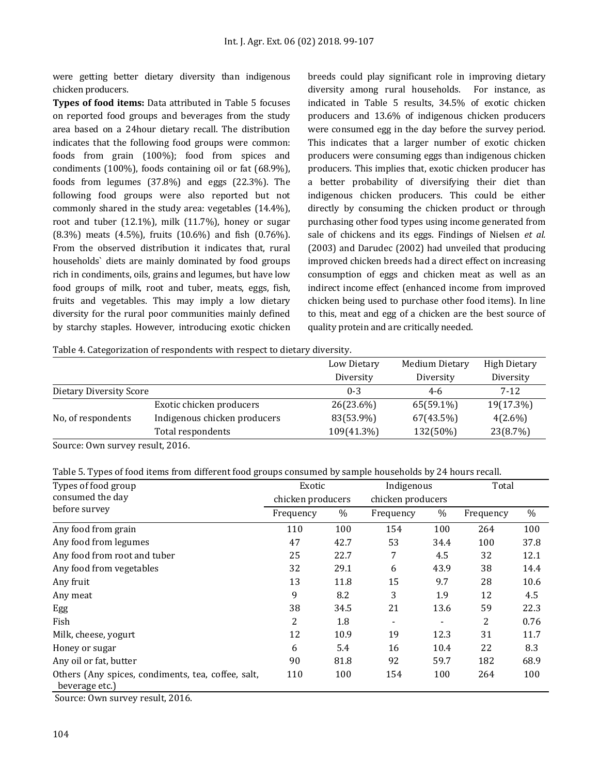were getting better dietary diversity than indigenous chicken producers.

**Types of food items:** Data attributed in Table 5 focuses on reported food groups and beverages from the study area based on a 24hour dietary recall. The distribution indicates that the following food groups were common: foods from grain (100%); food from spices and condiments (100%), foods containing oil or fat (68.9%), foods from legumes (37.8%) and eggs (22.3%). The following food groups were also reported but not commonly shared in the study area: vegetables (14.4%), root and tuber (12.1%), milk (11.7%), honey or sugar (8.3%) meats (4.5%), fruits (10.6%) and fish (0.76%). From the observed distribution it indicates that, rural households` diets are mainly dominated by food groups rich in condiments, oils, grains and legumes, but have low food groups of milk, root and tuber, meats, eggs, fish, fruits and vegetables. This may imply a low dietary diversity for the rural poor communities mainly defined by starchy staples. However, introducing exotic chicken breeds could play significant role in improving dietary diversity among rural households. For instance, as indicated in Table 5 results, 34.5% of exotic chicken producers and 13.6% of indigenous chicken producers were consumed egg in the day before the survey period. This indicates that a larger number of exotic chicken producers were consuming eggs than indigenous chicken producers. This implies that, exotic chicken producer has a better probability of diversifying their diet than indigenous chicken producers. This could be either directly by consuming the chicken product or through purchasing other food types using income generated from sale of chickens and its eggs. Findings of Nielsen *et al.* (2003) and Darudec (2002) had unveiled that producing improved chicken breeds had a direct effect on increasing consumption of eggs and chicken meat as well as an indirect income effect (enhanced income from improved chicken being used to purchase other food items). In line to this, meat and egg of a chicken are the best source of quality protein and are critically needed.

Table 4. Categorization of respondents with respect to dietary diversity.

|                         |                              | Low Dietary<br>Diversity | <b>Medium Dietary</b><br>Diversity | <b>High Dietary</b><br>Diversity |
|-------------------------|------------------------------|--------------------------|------------------------------------|----------------------------------|
| Dietary Diversity Score |                              | $0 - 3$                  | 4-6                                | 7-12                             |
|                         | Exotic chicken producers     | 26(23.6%)                | 65(59.1%)                          | 19(17.3%)                        |
| No, of respondents      | Indigenous chicken producers | 83(53.9%)                | 67(43.5%)                          | $4(2.6\%)$                       |
|                         | Total respondents            | 109(41.3%)               | 132(50%)                           | 23(8.7%)                         |

Source: Own survey result, 2016.

|  |  |  | Table 5. Types of food items from different food groups consumed by sample households by 24 hours recall. |  |  |  |
|--|--|--|-----------------------------------------------------------------------------------------------------------|--|--|--|
|  |  |  |                                                                                                           |  |  |  |
|  |  |  |                                                                                                           |  |  |  |
|  |  |  |                                                                                                           |  |  |  |

| Types of food group                                                  | Exotic            |      | Indigenous        |      | Total     |      |
|----------------------------------------------------------------------|-------------------|------|-------------------|------|-----------|------|
| consumed the day                                                     | chicken producers |      | chicken producers |      |           |      |
| before survey                                                        | Frequency         | $\%$ | Frequency         | $\%$ | Frequency | $\%$ |
| Any food from grain                                                  | 110               | 100  | 154               | 100  | 264       | 100  |
| Any food from legumes                                                | 47                | 42.7 | 53                | 34.4 | 100       | 37.8 |
| Any food from root and tuber                                         | 25                | 22.7 | 7                 | 4.5  | 32        | 12.1 |
| Any food from vegetables                                             | 32                | 29.1 | 6                 | 43.9 | 38        | 14.4 |
| Any fruit                                                            | 13                | 11.8 | 15                | 9.7  | 28        | 10.6 |
| Any meat                                                             | 9                 | 8.2  | 3                 | 1.9  | 12        | 4.5  |
| Egg                                                                  | 38                | 34.5 | 21                | 13.6 | 59        | 22.3 |
| Fish                                                                 | 2                 | 1.8  |                   |      | 2         | 0.76 |
| Milk, cheese, yogurt                                                 | 12                | 10.9 | 19                | 12.3 | 31        | 11.7 |
| Honey or sugar                                                       | 6                 | 5.4  | 16                | 10.4 | 22        | 8.3  |
| Any oil or fat, butter                                               | 90                | 81.8 | 92                | 59.7 | 182       | 68.9 |
| Others (Any spices, condiments, tea, coffee, salt,<br>beverage etc.) | 110               | 100  | 154               | 100  | 264       | 100  |

Source: Own survey result, 2016.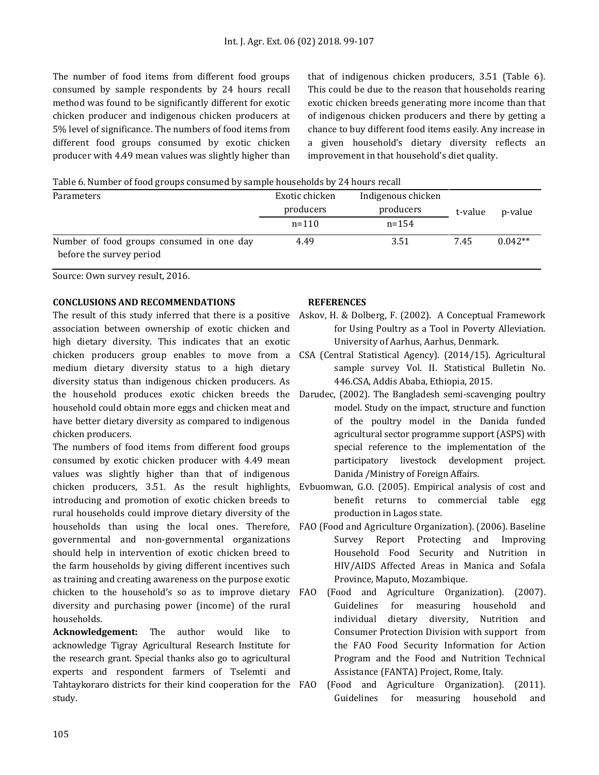The number of food items from different food groups consumed by sample respondents by 24 hours recall method was found to be significantly different for exotic chicken producer and indigenous chicken producers at 5% level of significance. The numbers of food items from different food groups consumed by exotic chicken producer with 4.49 mean values was slightly higher than that of indigenous chicken producers, 3.51 (Table 6). This could be due to the reason that households rearing exotic chicken breeds generating more income than that of indigenous chicken producers and there by getting a chance to buy different food items easily. Any increase in a given household's dietary diversity reflects an improvement in that household's diet quality.

Table 6. Number of food groups consumed by sample households by 24 hours recall

| <b>Parameters</b>                                                     | Exotic chicken | Indigenous chicken |         |           |  |
|-----------------------------------------------------------------------|----------------|--------------------|---------|-----------|--|
|                                                                       | producers      | producers          | t-value | p-value   |  |
|                                                                       | $n = 110$      | $n = 154$          |         |           |  |
| Number of food groups consumed in one day<br>before the survey period | 4.49           | 3.51               | 7.45    | $0.042**$ |  |

Source: Own survey result, 2016.

## **CONCLUSIONS AND RECOMMENDATIONS**

association between ownership of exotic chicken and high dietary diversity. This indicates that an exotic medium dietary diversity status to a high dietary diversity status than indigenous chicken producers. As household could obtain more eggs and chicken meat and have better dietary diversity as compared to indigenous chicken producers.

The numbers of food items from different food groups consumed by exotic chicken producer with 4.49 mean values was slightly higher than that of indigenous introducing and promotion of exotic chicken breeds to rural households could improve dietary diversity of the governmental and non-governmental organizations should help in intervention of exotic chicken breed to the farm households by giving different incentives such as training and creating awareness on the purpose exotic chicken to the household's so as to improve dietary FAO (Food and Agriculture Organization). (2007). diversity and purchasing power (income) of the rural households.

**Acknowledgement:** The author would like to acknowledge Tigray Agricultural Research Institute for the research grant. Special thanks also go to agricultural experts and respondent farmers of Tselemti and Tahtaykoraro districts for their kind cooperation for the FAO study.

### **REFERENCES**

- The result of this study inferred that there is a positive Askov, H. & Dolberg, F. (2002). A Conceptual Framework for Using Poultry as a Tool in Poverty Alleviation. University of Aarhus, Aarhus, Denmark.
- chicken producers group enables to move from a CSA (Central Statistical Agency). (2014/15). Agricultural sample survey Vol. II. Statistical Bulletin No. 446.CSA, Addis Ababa, Ethiopia, 2015.
- the household produces exotic chicken breeds the Darudec, (2002). The Bangladesh semi-scavenging poultry model. Study on the impact, structure and function of the poultry model in the Danida funded agricultural sector programme support (ASPS) with special reference to the implementation of the participatory livestock development project. Danida /Ministry of Foreign Affairs.
- chicken producers, 3.51. As the result highlights, Evbuomwan, G.O. (2005). Empirical analysis of cost and benefit returns to commercial table egg production in Lagos state.
- households than using the local ones. Therefore, FAO (Food and Agriculture Organization). (2006). Baseline Survey Report Protecting and Improving Household Food Security and Nutrition in HIV/AIDS Affected Areas in Manica and Sofala Province, Maputo, Mozambique.
	- Guidelines for measuring household and individual dietary diversity, Nutrition and Consumer Protection Division with support from the FAO Food Security Information for Action Program and the Food and Nutrition Technical Assistance (FANTA) Project, Rome, Italy.
	- (Food and Agriculture Organization). (2011). Guidelines for measuring household and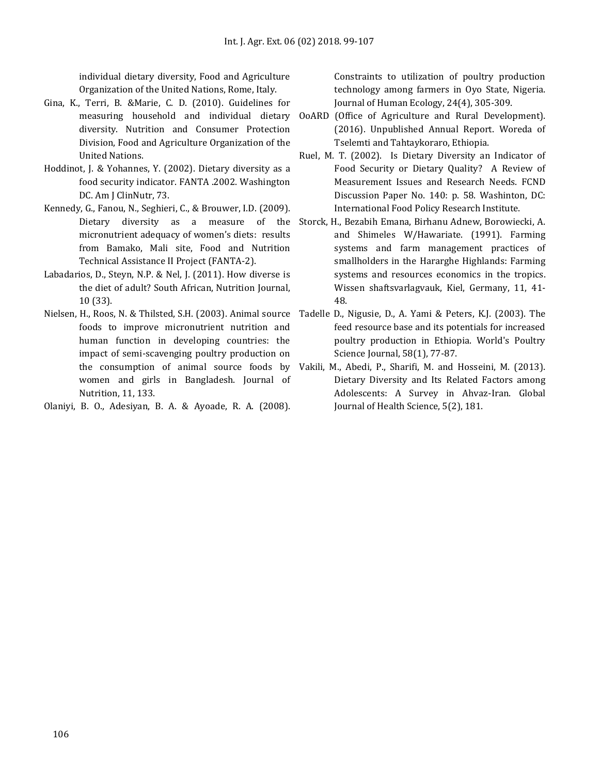individual dietary diversity, Food and Agriculture Organization of the United Nations, Rome, Italy.

- Gina, K., Terri, B. &Marie, C. D. (2010). Guidelines for diversity. Nutrition and Consumer Protection Division, Food and Agriculture Organization of the United Nations.
- Hoddinot, J. & Yohannes, Y. (2002). Dietary diversity as a food security indicator. FANTA .2002. Washington DC. Am J ClinNutr, 73.
- Kennedy, G., Fanou, N., Seghieri, C., & Brouwer, I.D. (2009). micronutrient adequacy of women's diets: results from Bamako, Mali site, Food and Nutrition Technical Assistance II Project (FANTA-2).
- Labadarios, D., Steyn, N.P. & Nel, J. (2011). How diverse is the diet of adult? South African, Nutrition Journal, 10 (33).
- Nielsen, H., Roos, N. & Thilsted, S.H. (2003). Animal source Tadelle D., Nigusie, D., A. Yami & Peters, K.J. (2003). The foods to improve micronutrient nutrition and human function in developing countries: the impact of semi-scavenging poultry production on women and girls in Bangladesh. Journal of Nutrition, 11, 133.
- Olaniyi, B. O., Adesiyan, B. A. & Ayoade, R. A. (2008).

Constraints to utilization of poultry production technology among farmers in Oyo State, Nigeria. Journal of Human Ecology, 24(4), 305-309.

- measuring household and individual dietary OoARD (Office of Agriculture and Rural Development). (2016). Unpublished Annual Report. Woreda of Tselemti and Tahtaykoraro, Ethiopia.
	- Ruel, M. T. (2002). Is Dietary Diversity an Indicator of Food Security or Dietary Quality? A Review of Measurement Issues and Research Needs. FCND Discussion Paper No. 140: p. 58. Washinton, DC: International Food Policy Research Institute.
- Dietary diversity as a measure of the Storck, H., Bezabih Emana, Birhanu Adnew, Borowiecki, A. and Shimeles W/Hawariate. (1991). Farming systems and farm management practices of smallholders in the Hararghe Highlands: Farming systems and resources economics in the tropics. Wissen shaftsvarlagvauk, Kiel, Germany, 11, 41- 48.
	- feed resource base and its potentials for increased poultry production in Ethiopia. World's Poultry Science Journal, 58(1), 77-87.
- the consumption of animal source foods by Vakili, M., Abedi, P., Sharifi, M. and Hosseini, M. (2013). Dietary Diversity and Its Related Factors among Adolescents: A Survey in Ahvaz-Iran. Global Journal of Health Science, 5(2), 181.